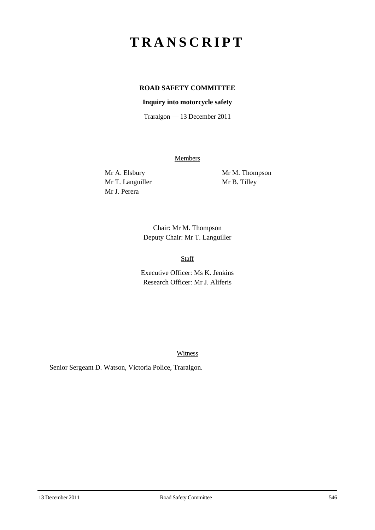# **TRANSCRIPT**

## **ROAD SAFETY COMMITTEE**

#### **Inquiry into motorcycle safety**

Traralgon — 13 December 2011

**Members** 

Mr T. Languiller Mr B. Tilley Mr J. Perera

Mr A. Elsbury Mr M. Thompson

Chair: Mr M. Thompson Deputy Chair: Mr T. Languiller

Staff

Executive Officer: Ms K. Jenkins Research Officer: Mr J. Aliferis

Witness

Senior Sergeant D. Watson, Victoria Police, Traralgon.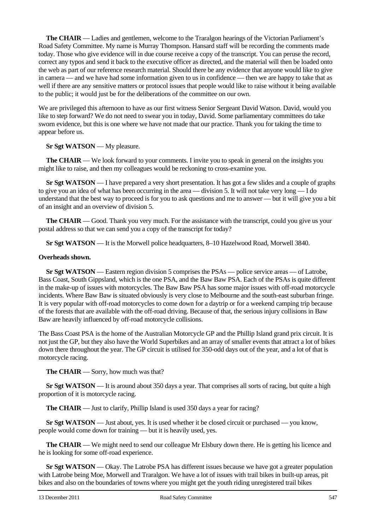**The CHAIR** — Ladies and gentlemen, welcome to the Traralgon hearings of the Victorian Parliament's Road Safety Committee. My name is Murray Thompson. Hansard staff will be recording the comments made today. Those who give evidence will in due course receive a copy of the transcript. You can peruse the record, correct any typos and send it back to the executive officer as directed, and the material will then be loaded onto the web as part of our reference research material. Should there be any evidence that anyone would like to give in camera — and we have had some information given to us in confidence — then we are happy to take that as well if there are any sensitive matters or protocol issues that people would like to raise without it being available to the public; it would just be for the deliberations of the committee on our own.

We are privileged this afternoon to have as our first witness Senior Sergeant David Watson. David, would you like to step forward? We do not need to swear you in today, David. Some parliamentary committees do take sworn evidence, but this is one where we have not made that our practice. Thank you for taking the time to appear before us.

**Sr Sgt WATSON** — My pleasure.

**The CHAIR** — We look forward to your comments. I invite you to speak in general on the insights you might like to raise, and then my colleagues would be reckoning to cross-examine you.

**Sr Sgt WATSON** — I have prepared a very short presentation. It has got a few slides and a couple of graphs to give you an idea of what has been occurring in the area — division 5. It will not take very long — I do understand that the best way to proceed is for you to ask questions and me to answer — but it will give you a bit of an insight and an overview of division 5.

**The CHAIR** — Good. Thank you very much. For the assistance with the transcript, could you give us your postal address so that we can send you a copy of the transcript for today?

**Sr Sgt WATSON** — It is the Morwell police headquarters, 8–10 Hazelwood Road, Morwell 3840.

#### **Overheads shown.**

**Sr Sgt WATSON** — Eastern region division 5 comprises the PSAs — police service areas — of Latrobe, Bass Coast, South Gippsland, which is the one PSA, and the Baw Baw PSA. Each of the PSAs is quite different in the make-up of issues with motorcycles. The Baw Baw PSA has some major issues with off-road motorcycle incidents. Where Baw Baw is situated obviously is very close to Melbourne and the south-east suburban fringe. It is very popular with off-road motorcycles to come down for a daytrip or for a weekend camping trip because of the forests that are available with the off-road driving. Because of that, the serious injury collisions in Baw Baw are heavily influenced by off-road motorcycle collisions.

The Bass Coast PSA is the home of the Australian Motorcycle GP and the Phillip Island grand prix circuit. It is not just the GP, but they also have the World Superbikes and an array of smaller events that attract a lot of bikes down there throughout the year. The GP circuit is utilised for 350-odd days out of the year, and a lot of that is motorcycle racing.

**The CHAIR** — Sorry, how much was that?

**Sr Sgt WATSON** — It is around about 350 days a year. That comprises all sorts of racing, but quite a high proportion of it is motorcycle racing.

**The CHAIR** — Just to clarify, Phillip Island is used 350 days a year for racing?

**Sr Sgt WATSON** — Just about, yes. It is used whether it be closed circuit or purchased — you know, people would come down for training — but it is heavily used, yes.

**The CHAIR** — We might need to send our colleague Mr Elsbury down there. He is getting his licence and he is looking for some off-road experience.

**Sr Sgt WATSON** — Okay. The Latrobe PSA has different issues because we have got a greater population with Latrobe being Moe, Morwell and Traralgon. We have a lot of issues with trail bikes in built-up areas, pit bikes and also on the boundaries of towns where you might get the youth riding unregistered trail bikes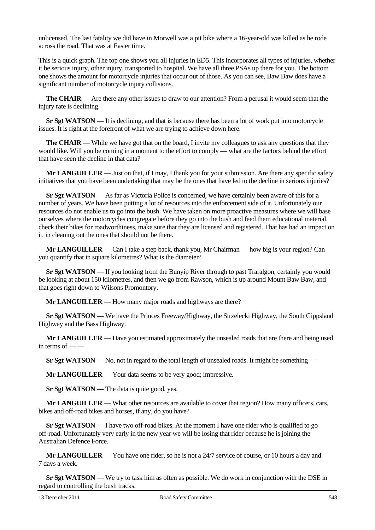unlicensed. The last fatality we did have in Morwell was a pit bike where a 16-year-old was killed as he rode across the road. That was at Easter time.

This is a quick graph. The top one shows you all injuries in ED5. This incorporates all types of injuries, whether it be serious injury, other injury, transported to hospital. We have all three PSAs up there for you. The bottom one shows the amount for motorcycle injuries that occur out of those. As you can see, Baw Baw does have a significant number of motorcycle injury collisions.

**The CHAIR** — Are there any other issues to draw to our attention? From a perusal it would seem that the injury rate is declining.

**Sr Sgt WATSON** — It is declining, and that is because there has been a lot of work put into motorcycle issues. It is right at the forefront of what we are trying to achieve down here.

**The CHAIR** — While we have got that on the board, I invite my colleagues to ask any questions that they would like. Will you be coming in a moment to the effort to comply — what are the factors behind the effort that have seen the decline in that data?

**Mr LANGUILLER** — Just on that, if I may, I thank you for your submission. Are there any specific safety initiatives that you have been undertaking that may be the ones that have led to the decline in serious injuries?

**Sr Sgt WATSON** — As far as Victoria Police is concerned, we have certainly been aware of this for a number of years. We have been putting a lot of resources into the enforcement side of it. Unfortunately our resources do not enable us to go into the bush. We have taken on more proactive measures where we will base ourselves where the motorcycles congregate before they go into the bush and feed them educational material, check their bikes for roadworthiness, make sure that they are licensed and registered. That has had an impact on it, in cleaning out the ones that should not be there.

**Mr LANGUILLER** — Can I take a step back, thank you, Mr Chairman — how big is your region? Can you quantify that in square kilometres? What is the diameter?

**Sr Sgt WATSON** — If you looking from the Bunyip River through to past Traralgon, certainly you would be looking at about 150 kilometres, and then we go from Rawson, which is up around Mount Baw Baw, and that goes right down to Wilsons Promontory.

**Mr LANGUILLER** — How many major roads and highways are there?

**Sr Sgt WATSON** — We have the Princes Freeway/Highway, the Strzelecki Highway, the South Gippsland Highway and the Bass Highway.

**Mr LANGUILLER** — Have you estimated approximately the unsealed roads that are there and being used in terms of  $-\frac{1}{x}$ 

**Sr Sgt WATSON** — No, not in regard to the total length of unsealed roads. It might be something — —

**Mr LANGUILLER** — Your data seems to be very good; impressive.

**Sr Sgt WATSON** — The data is quite good, yes.

**Mr LANGUILLER** — What other resources are available to cover that region? How many officers, cars, bikes and off-road bikes and horses, if any, do you have?

**Sr Sgt WATSON** — I have two off-road bikes. At the moment I have one rider who is qualified to go off-road. Unfortunately very early in the new year we will be losing that rider because he is joining the Australian Defence Force.

**Mr LANGUILLER** — You have one rider, so he is not a 24/7 service of course, or 10 hours a day and 7 days a week.

**Sr Sgt WATSON** — We try to task him as often as possible. We do work in conjunction with the DSE in regard to controlling the bush tracks.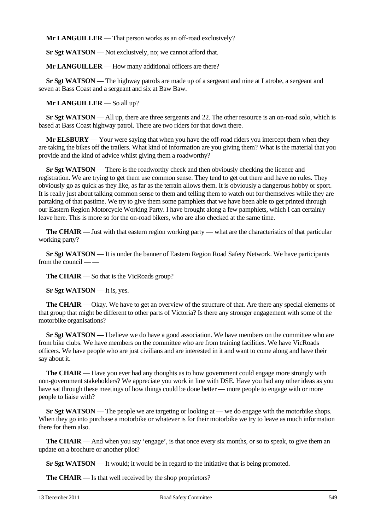**Mr LANGUILLER** — That person works as an off-road exclusively?

**Sr Sgt WATSON** — Not exclusively, no; we cannot afford that.

**Mr LANGUILLER** — How many additional officers are there?

**Sr Sgt WATSON** — The highway patrols are made up of a sergeant and nine at Latrobe, a sergeant and seven at Bass Coast and a sergeant and six at Baw Baw.

**Mr LANGUILLER** — So all up?

**Sr Sgt WATSON** — All up, there are three sergeants and 22. The other resource is an on-road solo, which is based at Bass Coast highway patrol. There are two riders for that down there.

**Mr ELSBURY** — Your were saying that when you have the off-road riders you intercept them when they are taking the bikes off the trailers. What kind of information are you giving them? What is the material that you provide and the kind of advice whilst giving them a roadworthy?

**Sr Sgt WATSON** — There is the roadworthy check and then obviously checking the licence and registration. We are trying to get them use common sense. They tend to get out there and have no rules. They obviously go as quick as they like, as far as the terrain allows them. It is obviously a dangerous hobby or sport. It is really just about talking common sense to them and telling them to watch out for themselves while they are partaking of that pastime. We try to give them some pamphlets that we have been able to get printed through our Eastern Region Motorcycle Working Party. I have brought along a few pamphlets, which I can certainly leave here. This is more so for the on-road bikers, who are also checked at the same time.

**The CHAIR** — Just with that eastern region working party — what are the characteristics of that particular working party?

**Sr Sgt WATSON** — It is under the banner of Eastern Region Road Safety Network. We have participants from the council — —

**The CHAIR** — So that is the VicRoads group?

**Sr Sgt WATSON** — It is, yes.

**The CHAIR** — Okay. We have to get an overview of the structure of that. Are there any special elements of that group that might be different to other parts of Victoria? Is there any stronger engagement with some of the motorbike organisations?

**Sr Sgt WATSON** — I believe we do have a good association. We have members on the committee who are from bike clubs. We have members on the committee who are from training facilities. We have VicRoads officers. We have people who are just civilians and are interested in it and want to come along and have their say about it.

**The CHAIR** — Have you ever had any thoughts as to how government could engage more strongly with non-government stakeholders? We appreciate you work in line with DSE. Have you had any other ideas as you have sat through these meetings of how things could be done better — more people to engage with or more people to liaise with?

**Sr Sgt WATSON** — The people we are targeting or looking at — we do engage with the motorbike shops. When they go into purchase a motorbike or whatever is for their motorbike we try to leave as much information there for them also.

**The CHAIR** — And when you say 'engage', is that once every six months, or so to speak, to give them an update on a brochure or another pilot?

**Sr Sgt WATSON** — It would; it would be in regard to the initiative that is being promoted.

**The CHAIR** — Is that well received by the shop proprietors?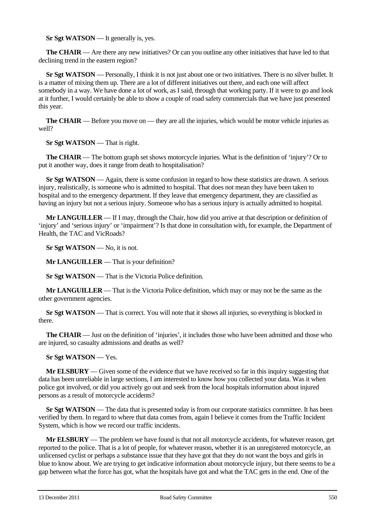**Sr Sgt WATSON** — It generally is, yes.

**The CHAIR** — Are there any new initiatives? Or can you outline any other initiatives that have led to that declining trend in the eastern region?

**Sr Sgt WATSON** — Personally, I think it is not just about one or two initiatives. There is no silver bullet. It is a matter of mixing them up. There are a lot of different initiatives out there, and each one will affect somebody in a way. We have done a lot of work, as I said, through that working party. If it were to go and look at it further, I would certainly be able to show a couple of road safety commercials that we have just presented this year.

**The CHAIR** — Before you move on — they are all the injuries, which would be motor vehicle injuries as well?

**Sr Sgt WATSON** — That is right.

**The CHAIR** — The bottom graph set shows motorcycle injuries. What is the definition of 'injury'? Or to put it another way, does it range from death to hospitalisation?

**Sr Sgt WATSON** — Again, there is some confusion in regard to how these statistics are drawn. A serious injury, realistically, is someone who is admitted to hospital. That does not mean they have been taken to hospital and to the emergency department. If they leave that emergency department, they are classified as having an injury but not a serious injury. Someone who has a serious injury is actually admitted to hospital.

**Mr LANGUILLER** — If I may, through the Chair, how did you arrive at that description or definition of 'injury' and 'serious injury' or 'impairment'? Is that done in consultation with, for example, the Department of Health, the TAC and VicRoads?

**Sr Sgt WATSON** — No, it is not.

**Mr LANGUILLER** — That is your definition?

**Sr Sgt WATSON** — That is the Victoria Police definition.

**Mr LANGUILLER** — That is the Victoria Police definition, which may or may not be the same as the other government agencies.

**Sr Sgt WATSON** — That is correct. You will note that it shows all injuries, so everything is blocked in there.

**The CHAIR** — Just on the definition of 'injuries', it includes those who have been admitted and those who are injured, so casualty admissions and deaths as well?

**Sr Sgt WATSON** — Yes.

**Mr ELSBURY** — Given some of the evidence that we have received so far in this inquiry suggesting that data has been unreliable in large sections, I am interested to know how you collected your data. Was it when police got involved, or did you actively go out and seek from the local hospitals information about injured persons as a result of motorcycle accidents?

**Sr Sgt WATSON** — The data that is presented today is from our corporate statistics committee. It has been verified by them. In regard to where that data comes from, again I believe it comes from the Traffic Incident System, which is how we record our traffic incidents.

**Mr ELSBURY** — The problem we have found is that not all motorcycle accidents, for whatever reason, get reported to the police. That is a lot of people, for whatever reason, whether it is an unregistered motorcycle, an unlicensed cyclist or perhaps a substance issue that they have got that they do not want the boys and girls in blue to know about. We are trying to get indicative information about motorcycle injury, but there seems to be a gap between what the force has got, what the hospitals have got and what the TAC gets in the end. One of the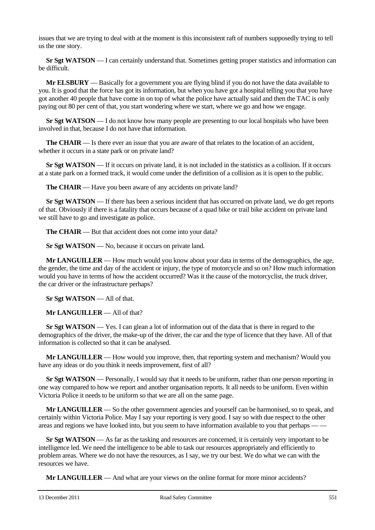issues that we are trying to deal with at the moment is this inconsistent raft of numbers supposedly trying to tell us the one story.

**Sr Sgt WATSON** — I can certainly understand that. Sometimes getting proper statistics and information can be difficult.

**Mr ELSBURY** — Basically for a government you are flying blind if you do not have the data available to you. It is good that the force has got its information, but when you have got a hospital telling you that you have got another 40 people that have come in on top of what the police have actually said and then the TAC is only paying out 80 per cent of that, you start wondering where we start, where we go and how we engage.

**Sr Sgt WATSON** — I do not know how many people are presenting to our local hospitals who have been involved in that, because I do not have that information.

**The CHAIR** — Is there ever an issue that you are aware of that relates to the location of an accident, whether it occurs in a state park or on private land?

**Sr Sgt WATSON** — If it occurs on private land, it is not included in the statistics as a collision. If it occurs at a state park on a formed track, it would come under the definition of a collision as it is open to the public.

**The CHAIR** — Have you been aware of any accidents on private land?

**Sr Sgt WATSON** — If there has been a serious incident that has occurred on private land, we do get reports of that. Obviously if there is a fatality that occurs because of a quad bike or trail bike accident on private land we still have to go and investigate as police.

**The CHAIR** — But that accident does not come into your data?

**Sr Sgt WATSON** — No, because it occurs on private land.

**Mr LANGUILLER** — How much would you know about your data in terms of the demographics, the age, the gender, the time and day of the accident or injury, the type of motorcycle and so on? How much information would you have in terms of how the accident occurred? Was it the cause of the motorcyclist, the truck driver, the car driver or the infrastructure perhaps?

**Sr Sgt WATSON** — All of that.

**Mr LANGUILLER** — All of that?

**Sr Sgt WATSON** — Yes. I can glean a lot of information out of the data that is there in regard to the demographics of the driver, the make-up of the driver, the car and the type of licence that they have. All of that information is collected so that it can be analysed.

**Mr LANGUILLER** — How would you improve, then, that reporting system and mechanism? Would you have any ideas or do you think it needs improvement, first of all?

**Sr Sgt WATSON** — Personally, I would say that it needs to be uniform, rather than one person reporting in one way compared to how we report and another organisation reports. It all needs to be uniform. Even within Victoria Police it needs to be uniform so that we are all on the same page.

**Mr LANGUILLER** — So the other government agencies and yourself can be harmonised, so to speak, and certainly within Victoria Police. May I say your reporting is very good. I say so with due respect to the other areas and regions we have looked into, but you seem to have information available to you that perhaps — —

**Sr Sgt WATSON** — As far as the tasking and resources are concerned, it is certainly very important to be intelligence led. We need the intelligence to be able to task our resources appropriately and efficiently to problem areas. Where we do not have the resources, as I say, we try our best. We do what we can with the resources we have.

**Mr LANGUILLER** — And what are your views on the online format for more minor accidents?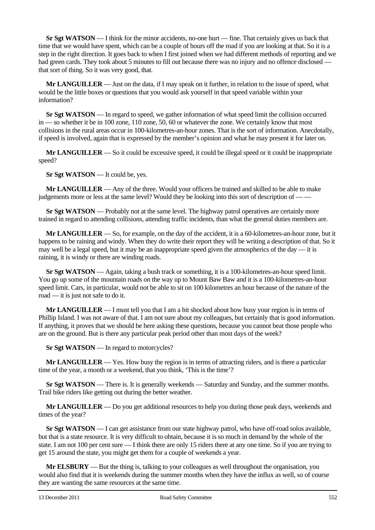**Sr Sgt WATSON** — I think for the minor accidents, no-one hurt — fine. That certainly gives us back that time that we would have spent, which can be a couple of hours off the road if you are looking at that. So it is a step in the right direction. It goes back to when I first joined when we had different methods of reporting and we had green cards. They took about 5 minutes to fill out because there was no injury and no offence disclosed – that sort of thing. So it was very good, that.

**Mr LANGUILLER** — Just on the data, if I may speak on it further, in relation to the issue of speed, what would be the little boxes or questions that you would ask yourself in that speed variable within your information?

**Sr Sgt WATSON** — In regard to speed, we gather information of what speed limit the collision occurred in — so whether it be in 100 zone, 110 zone, 50, 60 or whatever the zone. We certainly know that most collisions in the rural areas occur in 100-kilometres-an-hour zones. That is the sort of information. Anecdotally, if speed is involved, again that is expressed by the member's opinion and what he may present it for later on.

**Mr LANGUILLER** — So it could be excessive speed, it could be illegal speed or it could be inappropriate speed?

**Sr Sgt WATSON** — It could be, yes.

**Mr LANGUILLER** — Any of the three. Would your officers be trained and skilled to be able to make judgements more or less at the same level? Would they be looking into this sort of description of — —

**Sr Sgt WATSON** — Probably not at the same level. The highway patrol operatives are certainly more trained in regard to attending collisions, attending traffic incidents, than what the general duties members are.

**Mr LANGUILLER** — So, for example, on the day of the accident, it is a 60-kilometres-an-hour zone, but it happens to be raining and windy. When they do write their report they will be writing a description of that. So it may well be a legal speed, but it may be an inappropriate speed given the atmospherics of the day — it is raining, it is windy or there are winding roads.

**Sr Sgt WATSON** — Again, taking a bush track or something, it is a 100-kilometres-an-hour speed limit. You go up some of the mountain roads on the way up to Mount Baw Baw and it is a 100-kilometres-an-hour speed limit. Cars, in particular, would not be able to sit on 100 kilometres an hour because of the nature of the road — it is just not safe to do it.

**Mr LANGUILLER** — I must tell you that I am a bit shocked about how busy your region is in terms of Phillip Island. I was not aware of that. I am not sure about my colleagues, but certainly that is good information. If anything, it proves that we should be here asking these questions, because you cannot beat those people who are on the ground. But is there any particular peak period other than most days of the week?

**Sr Sgt WATSON** — In regard to motorcycles?

**Mr LANGUILLER** — Yes. How busy the region is in terms of attracting riders, and is there a particular time of the year, a month or a weekend, that you think, 'This is the time'?

**Sr Sgt WATSON** — There is. It is generally weekends — Saturday and Sunday, and the summer months. Trail bike riders like getting out during the better weather.

**Mr LANGUILLER** — Do you get additional resources to help you during those peak days, weekends and times of the year?

**Sr Sgt WATSON** — I can get assistance from our state highway patrol, who have off-road solos available, but that is a state resource. It is very difficult to obtain, because it is so much in demand by the whole of the state. I am not 100 per cent sure — I think there are only 15 riders there at any one time. So if you are trying to get 15 around the state, you might get them for a couple of weekends a year.

**Mr ELSBURY** — But the thing is, talking to your colleagues as well throughout the organisation, you would also find that it is weekends during the summer months when they have the influx as well, so of course they are wanting the same resources at the same time.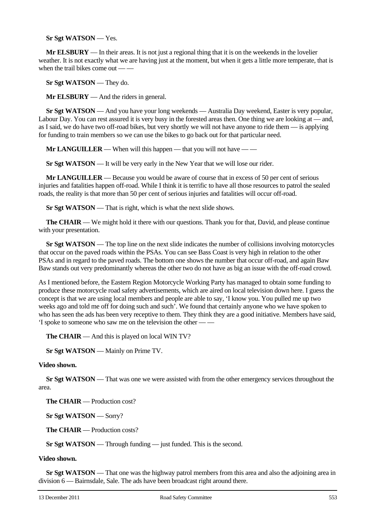**Sr Sgt WATSON** — Yes.

**Mr ELSBURY** — In their areas. It is not just a regional thing that it is on the weekends in the lovelier weather. It is not exactly what we are having just at the moment, but when it gets a little more temperate, that is when the trail bikes come out  $-\frac{1}{x}$ 

**Sr Sgt WATSON** — They do.

**Mr ELSBURY** — And the riders in general.

**Sr Sgt WATSON** — And you have your long weekends — Australia Day weekend, Easter is very popular, Labour Day. You can rest assured it is very busy in the forested areas then. One thing we are looking at — and, as I said, we do have two off-road bikes, but very shortly we will not have anyone to ride them — is applying for funding to train members so we can use the bikes to go back out for that particular need.

**Mr LANGUILLER** — When will this happen — that you will not have —

**Sr Sgt WATSON** — It will be very early in the New Year that we will lose our rider.

**Mr LANGUILLER** — Because you would be aware of course that in excess of 50 per cent of serious injuries and fatalities happen off-road. While I think it is terrific to have all those resources to patrol the sealed roads, the reality is that more than 50 per cent of serious injuries and fatalities will occur off-road.

**Sr Sgt WATSON** — That is right, which is what the next slide shows.

**The CHAIR** — We might hold it there with our questions. Thank you for that, David, and please continue with your presentation.

**Sr Sgt WATSON** — The top line on the next slide indicates the number of collisions involving motorcycles that occur on the paved roads within the PSAs. You can see Bass Coast is very high in relation to the other PSAs and in regard to the paved roads. The bottom one shows the number that occur off-road, and again Baw Baw stands out very predominantly whereas the other two do not have as big an issue with the off-road crowd.

As I mentioned before, the Eastern Region Motorcycle Working Party has managed to obtain some funding to produce these motorcycle road safety advertisements, which are aired on local television down here. I guess the concept is that we are using local members and people are able to say, 'I know you. You pulled me up two weeks ago and told me off for doing such and such'. We found that certainly anyone who we have spoken to who has seen the ads has been very receptive to them. They think they are a good initiative. Members have said, 'I spoke to someone who saw me on the television the other — —

**The CHAIR** — And this is played on local WIN TV?

**Sr Sgt WATSON** — Mainly on Prime TV.

#### **Video shown.**

**Sr Sgt WATSON** — That was one we were assisted with from the other emergency services throughout the area.

**The CHAIR** — Production cost?

**Sr Sgt WATSON** — Sorry?

**The CHAIR** — Production costs?

**Sr Sgt WATSON** — Through funding — just funded. This is the second.

#### **Video shown.**

**Sr Sgt WATSON** — That one was the highway patrol members from this area and also the adjoining area in division 6 — Bairnsdale, Sale. The ads have been broadcast right around there.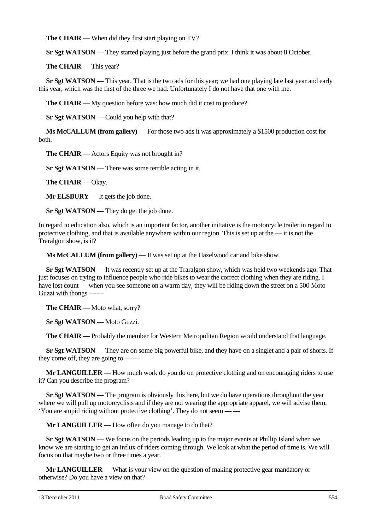**The CHAIR** — When did they first start playing on TV?

**Sr Sgt WATSON** — They started playing just before the grand prix. I think it was about 8 October.

**The CHAIR** — This year?

**Sr Sgt WATSON** — This year. That is the two ads for this year; we had one playing late last year and early this year, which was the first of the three we had. Unfortunately I do not have that one with me.

**The CHAIR** — My question before was: how much did it cost to produce?

**Sr Sgt WATSON** — Could you help with that?

**Ms McCALLUM (from gallery)** — For those two ads it was approximately a \$1500 production cost for both.

**The CHAIR** — Actors Equity was not brought in?

**Sr Sgt WATSON** — There was some terrible acting in it.

**The CHAIR** — Okay.

**Mr ELSBURY** — It gets the job done.

**Sr Sgt WATSON** — They do get the job done.

In regard to education also, which is an important factor, another initiative is the motorcycle trailer in regard to protective clothing, and that is available anywhere within our region. This is set up at the — it is not the Traralgon show, is it?

**Ms McCALLUM (from gallery)** — It was set up at the Hazelwood car and bike show.

**Sr Sgt WATSON** — It was recently set up at the Traralgon show, which was held two weekends ago. That just focuses on trying to influence people who ride bikes to wear the correct clothing when they are riding. I have lost count — when you see someone on a warm day, they will be riding down the street on a 500 Moto Guzzi with thongs — —

**The CHAIR** — Moto what, sorry?

**Sr Sgt WATSON** — Moto Guzzi.

**The CHAIR** — Probably the member for Western Metropolitan Region would understand that language.

**Sr Sgt WATSON** — They are on some big powerful bike, and they have on a singlet and a pair of shorts. If they come off, they are going to -

**Mr LANGUILLER** — How much work do you do on protective clothing and on encouraging riders to use it? Can you describe the program?

**Sr Sgt WATSON** — The program is obviously this here, but we do have operations throughout the year where we will pull up motorcyclists and if they are not wearing the appropriate apparel, we will advise them, 'You are stupid riding without protective clothing'. They do not seem — —

**Mr LANGUILLER** — How often do you manage to do that?

**Sr Sgt WATSON** — We focus on the periods leading up to the major events at Phillip Island when we know we are starting to get an influx of riders coming through. We look at what the period of time is. We will focus on that maybe two or three times a year.

**Mr LANGUILLER** — What is your view on the question of making protective gear mandatory or otherwise? Do you have a view on that?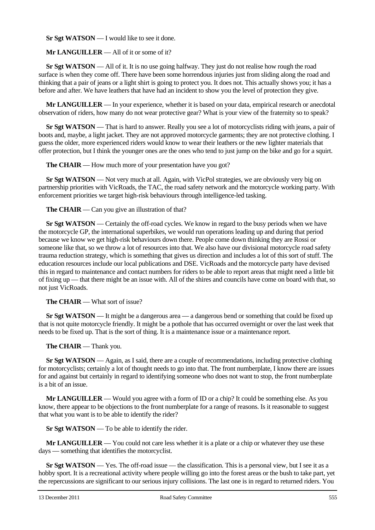**Sr Sgt WATSON** — I would like to see it done.

### **Mr LANGUILLER** — All of it or some of it?

**Sr Sgt WATSON** — All of it. It is no use going halfway. They just do not realise how rough the road surface is when they come off. There have been some horrendous injuries just from sliding along the road and thinking that a pair of jeans or a light shirt is going to protect you. It does not. This actually shows you; it has a before and after. We have leathers that have had an incident to show you the level of protection they give.

**Mr LANGUILLER** — In your experience, whether it is based on your data, empirical research or anecdotal observation of riders, how many do not wear protective gear? What is your view of the fraternity so to speak?

**Sr Sgt WATSON** — That is hard to answer. Really you see a lot of motorcyclists riding with jeans, a pair of boots and, maybe, a light jacket. They are not approved motorcycle garments; they are not protective clothing. I guess the older, more experienced riders would know to wear their leathers or the new lighter materials that offer protection, but I think the younger ones are the ones who tend to just jump on the bike and go for a squirt.

**The CHAIR** — How much more of your presentation have you got?

**Sr Sgt WATSON** — Not very much at all. Again, with VicPol strategies, we are obviously very big on partnership priorities with VicRoads, the TAC, the road safety network and the motorcycle working party. With enforcement priorities we target high-risk behaviours through intelligence-led tasking.

**The CHAIR** — Can you give an illustration of that?

**Sr Sgt WATSON** — Certainly the off-road cycles. We know in regard to the busy periods when we have the motorcycle GP, the international superbikes, we would run operations leading up and during that period because we know we get high-risk behaviours down there. People come down thinking they are Rossi or someone like that, so we throw a lot of resources into that. We also have our divisional motorcycle road safety trauma reduction strategy, which is something that gives us direction and includes a lot of this sort of stuff. The education resources include our local publications and DSE. VicRoads and the motorcycle party have devised this in regard to maintenance and contact numbers for riders to be able to report areas that might need a little bit of fixing up — that there might be an issue with. All of the shires and councils have come on board with that, so not just VicRoads.

**The CHAIR** — What sort of issue?

**Sr Sgt WATSON** — It might be a dangerous area — a dangerous bend or something that could be fixed up that is not quite motorcycle friendly. It might be a pothole that has occurred overnight or over the last week that needs to be fixed up. That is the sort of thing. It is a maintenance issue or a maintenance report.

**The CHAIR** — Thank you.

**Sr Sgt WATSON** — Again, as I said, there are a couple of recommendations, including protective clothing for motorcyclists; certainly a lot of thought needs to go into that. The front numberplate, I know there are issues for and against but certainly in regard to identifying someone who does not want to stop, the front numberplate is a bit of an issue.

**Mr LANGUILLER** — Would you agree with a form of ID or a chip? It could be something else. As you know, there appear to be objections to the front numberplate for a range of reasons. Is it reasonable to suggest that what you want is to be able to identify the rider?

**Sr Sgt WATSON** — To be able to identify the rider.

**Mr LANGUILLER** — You could not care less whether it is a plate or a chip or whatever they use these days — something that identifies the motorcyclist.

**Sr Sgt WATSON** — Yes. The off-road issue — the classification. This is a personal view, but I see it as a hobby sport. It is a recreational activity where people willing go into the forest areas or the bush to take part, yet the repercussions are significant to our serious injury collisions. The last one is in regard to returned riders. You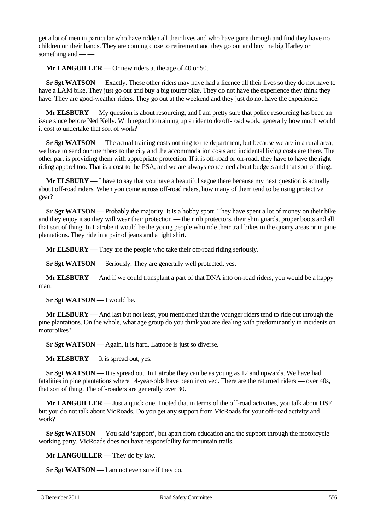get a lot of men in particular who have ridden all their lives and who have gone through and find they have no children on their hands. They are coming close to retirement and they go out and buy the big Harley or something and — —

**Mr LANGUILLER** — Or new riders at the age of 40 or 50.

**Sr Sgt WATSON** — Exactly. These other riders may have had a licence all their lives so they do not have to have a LAM bike. They just go out and buy a big tourer bike. They do not have the experience they think they have. They are good-weather riders. They go out at the weekend and they just do not have the experience.

**Mr ELSBURY** — My question is about resourcing, and I am pretty sure that police resourcing has been an issue since before Ned Kelly. With regard to training up a rider to do off-road work, generally how much would it cost to undertake that sort of work?

**Sr Sgt WATSON** — The actual training costs nothing to the department, but because we are in a rural area, we have to send our members to the city and the accommodation costs and incidental living costs are there. The other part is providing them with appropriate protection. If it is off-road or on-road, they have to have the right riding apparel too. That is a cost to the PSA, and we are always concerned about budgets and that sort of thing.

**Mr ELSBURY** — I have to say that you have a beautiful segue there because my next question is actually about off-road riders. When you come across off-road riders, how many of them tend to be using protective gear?

**Sr Sgt WATSON** — Probably the majority. It is a hobby sport. They have spent a lot of money on their bike and they enjoy it so they will wear their protection — their rib protectors, their shin guards, proper boots and all that sort of thing. In Latrobe it would be the young people who ride their trail bikes in the quarry areas or in pine plantations. They ride in a pair of jeans and a light shirt.

**Mr ELSBURY** — They are the people who take their off-road riding seriously.

**Sr Sgt WATSON** — Seriously. They are generally well protected, yes.

**Mr ELSBURY** — And if we could transplant a part of that DNA into on-road riders, you would be a happy man.

**Sr Sgt WATSON** — I would be.

**Mr ELSBURY** — And last but not least, you mentioned that the younger riders tend to ride out through the pine plantations. On the whole, what age group do you think you are dealing with predominantly in incidents on motorbikes?

**Sr Sgt WATSON** — Again, it is hard. Latrobe is just so diverse.

**Mr ELSBURY** — It is spread out, yes.

**Sr Sgt WATSON** — It is spread out. In Latrobe they can be as young as 12 and upwards. We have had fatalities in pine plantations where 14-year-olds have been involved. There are the returned riders — over 40s, that sort of thing. The off-roaders are generally over 30.

**Mr LANGUILLER** — Just a quick one. I noted that in terms of the off-road activities, you talk about DSE but you do not talk about VicRoads. Do you get any support from VicRoads for your off-road activity and work?

**Sr Sgt WATSON** — You said 'support', but apart from education and the support through the motorcycle working party, VicRoads does not have responsibility for mountain trails.

**Mr LANGUILLER** — They do by law.

**Sr Sgt WATSON** — I am not even sure if they do.